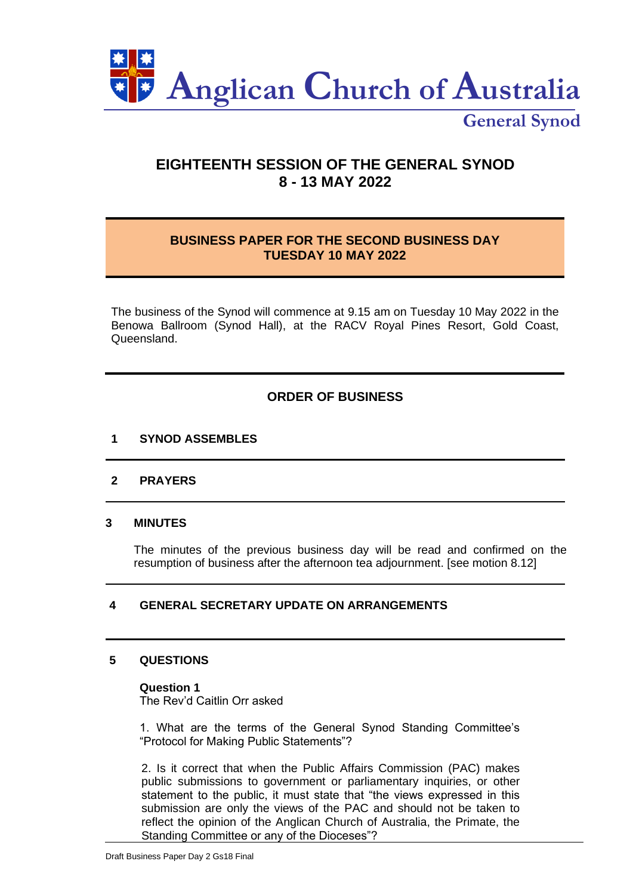

**General Synod**

# **EIGHTEENTH SESSION OF THE GENERAL SYNOD 8 - 13 MAY 2022**

# **BUSINESS PAPER FOR THE SECOND BUSINESS DAY TUESDAY 10 MAY 2022**

The business of the Synod will commence at 9.15 am on Tuesday 10 May 2022 in the Benowa Ballroom (Synod Hall), at the RACV Royal Pines Resort, Gold Coast, Queensland.

# **ORDER OF BUSINESS**

# **1 SYNOD ASSEMBLES**

# **2 PRAYERS**

# **3 MINUTES**

The minutes of the previous business day will be read and confirmed on the resumption of business after the afternoon tea adjournment. [see motion 8.12]

# **4 GENERAL SECRETARY UPDATE ON ARRANGEMENTS**

# **5 QUESTIONS**

# **Question 1**

The Rev'd Caitlin Orr asked

1. What are the terms of the General Synod Standing Committee's "Protocol for Making Public Statements"?

2. Is it correct that when the Public Affairs Commission (PAC) makes public submissions to government or parliamentary inquiries, or other statement to the public, it must state that "the views expressed in this submission are only the views of the PAC and should not be taken to reflect the opinion of the Anglican Church of Australia, the Primate, the Standing Committee or any of the Dioceses"?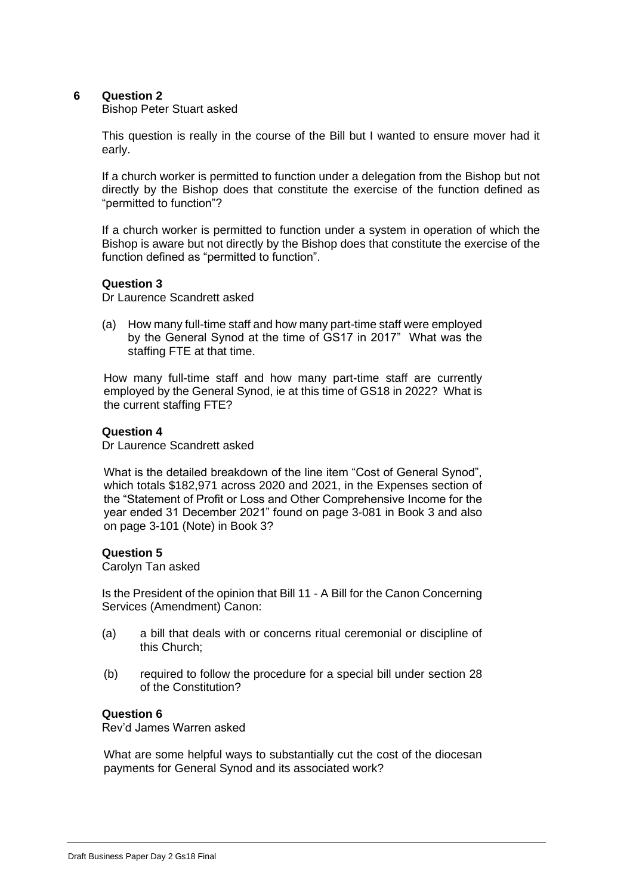# **6 Question 2**

#### Bishop Peter Stuart asked

This question is really in the course of the Bill but I wanted to ensure mover had it early.

If a church worker is permitted to function under a delegation from the Bishop but not directly by the Bishop does that constitute the exercise of the function defined as "permitted to function"?

If a church worker is permitted to function under a system in operation of which the Bishop is aware but not directly by the Bishop does that constitute the exercise of the function defined as "permitted to function".

#### **Question 3**

Dr Laurence Scandrett asked

(a) How many full-time staff and how many part-time staff were employed by the General Synod at the time of GS17 in 2017" What was the staffing FTE at that time.

How many full-time staff and how many part-time staff are currently employed by the General Synod, ie at this time of GS18 in 2022? What is the current staffing FTE?

### **Question 4**

Dr Laurence Scandrett asked

What is the detailed breakdown of the line item "Cost of General Synod", which totals \$182,971 across 2020 and 2021, in the Expenses section of the "Statement of Profit or Loss and Other Comprehensive Income for the year ended 31 December 2021" found on page 3-081 in Book 3 and also on page 3-101 (Note) in Book 3?

#### **Question 5**

Carolyn Tan asked

Is the President of the opinion that Bill 11 - A Bill for the Canon Concerning Services (Amendment) Canon:

- (a) a bill that deals with or concerns ritual ceremonial or discipline of this Church;
- (b) required to follow the procedure for a special bill under section 28 of the Constitution?

#### **Question 6**

Rev'd James Warren asked

What are some helpful ways to substantially cut the cost of the diocesan payments for General Synod and its associated work?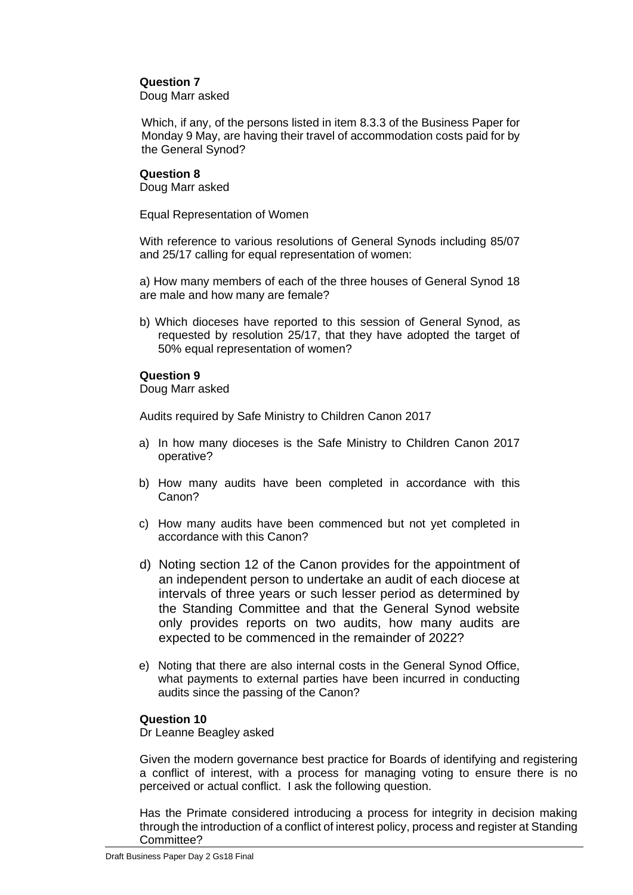# **Question 7**

Doug Marr asked

Which, if any, of the persons listed in item 8.3.3 of the Business Paper for Monday 9 May, are having their travel of accommodation costs paid for by the General Synod?

### **Question 8**

Doug Marr asked

Equal Representation of Women

With reference to various resolutions of General Synods including 85/07 and 25/17 calling for equal representation of women:

a) How many members of each of the three houses of General Synod 18 are male and how many are female?

b) Which dioceses have reported to this session of General Synod, as requested by resolution 25/17, that they have adopted the target of 50% equal representation of women?

# **Question 9**

Doug Marr asked

Audits required by Safe Ministry to Children Canon 2017

- a) In how many dioceses is the Safe Ministry to Children Canon 2017 operative?
- b) How many audits have been completed in accordance with this Canon?
- c) How many audits have been commenced but not yet completed in accordance with this Canon?
- d) Noting section 12 of the Canon provides for the appointment of an independent person to undertake an audit of each diocese at intervals of three years or such lesser period as determined by the Standing Committee and that the General Synod website only provides reports on two audits, how many audits are expected to be commenced in the remainder of 2022?
- e) Noting that there are also internal costs in the General Synod Office, what payments to external parties have been incurred in conducting audits since the passing of the Canon?

# **Question 10**

Dr Leanne Beagley asked

Given the modern governance best practice for Boards of identifying and registering a conflict of interest, with a process for managing voting to ensure there is no perceived or actual conflict. I ask the following question.

Has the Primate considered introducing a process for integrity in decision making through the introduction of a conflict of interest policy, process and register at Standing Committee?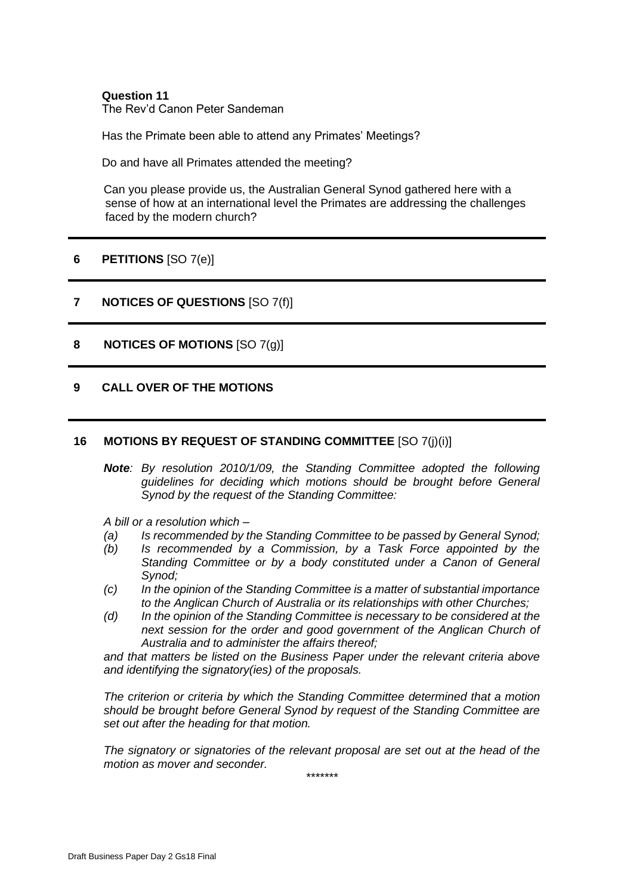#### **Question 11** The Rev'd Canon Peter Sandeman

Has the Primate been able to attend any Primates' Meetings?

Do and have all Primates attended the meeting?

Can you please provide us, the Australian General Synod gathered here with a sense of how at an international level the Primates are addressing the challenges faced by the modern church?

# **6 PETITIONS** [SO 7(e)]

# **7 NOTICES OF QUESTIONS** [SO 7(f)]

**8 NOTICES OF MOTIONS** [SO 7(g)]

### **9 CALL OVER OF THE MOTIONS**

#### **16 MOTIONS BY REQUEST OF STANDING COMMITTEE** [SO 7(j)(i)]

*Note: By resolution 2010/1/09, the Standing Committee adopted the following guidelines for deciding which motions should be brought before General Synod by the request of the Standing Committee:*

*A bill or a resolution which –*

- *(a) Is recommended by the Standing Committee to be passed by General Synod;*
- *(b) Is recommended by a Commission, by a Task Force appointed by the Standing Committee or by a body constituted under a Canon of General Synod;*
- *(c) In the opinion of the Standing Committee is a matter of substantial importance to the Anglican Church of Australia or its relationships with other Churches;*
- *(d) In the opinion of the Standing Committee is necessary to be considered at the next session for the order and good government of the Anglican Church of Australia and to administer the affairs thereof;*

*and that matters be listed on the Business Paper under the relevant criteria above and identifying the signatory(ies) of the proposals.*

*The criterion or criteria by which the Standing Committee determined that a motion should be brought before General Synod by request of the Standing Committee are set out after the heading for that motion.*

*The signatory or signatories of the relevant proposal are set out at the head of the motion as mover and seconder.*

*\*\*\*\*\*\*\**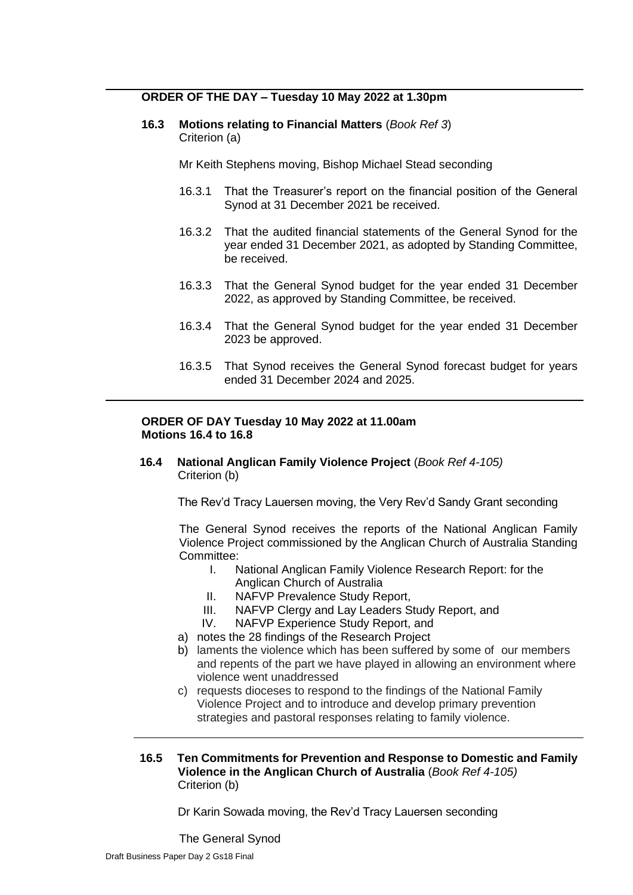# **ORDER OF THE DAY – Tuesday 10 May 2022 at 1.30pm**

**16.3 Motions relating to Financial Matters** (*Book Ref 3*) Criterion (a)

Mr Keith Stephens moving, Bishop Michael Stead seconding

- 16.3.1 That the Treasurer's report on the financial position of the General Synod at 31 December 2021 be received.
- 16.3.2 That the audited financial statements of the General Synod for the year ended 31 December 2021, as adopted by Standing Committee, be received.
- 16.3.3 That the General Synod budget for the year ended 31 December 2022, as approved by Standing Committee, be received.
- 16.3.4 That the General Synod budget for the year ended 31 December 2023 be approved.
- 16.3.5 That Synod receives the General Synod forecast budget for years ended 31 December 2024 and 2025.

#### **ORDER OF DAY Tuesday 10 May 2022 at 11.00am Motions 16.4 to 16.8**

**16.4 National Anglican Family Violence Project** (*Book Ref 4-105)* Criterion (b)

The Rev'd Tracy Lauersen moving, the Very Rev'd Sandy Grant seconding

The General Synod receives the reports of the National Anglican Family Violence Project commissioned by the Anglican Church of Australia Standing Committee:

- I. National Anglican Family Violence Research Report: for the
	- Anglican Church of Australia
- II. NAFVP Prevalence Study Report,
- III. NAFVP Clergy and Lay Leaders Study Report, and
- IV. NAFVP Experience Study Report, and
- a) notes the 28 findings of the Research Project
- b) laments the violence which has been suffered by some of our members and repents of the part we have played in allowing an environment where violence went unaddressed
- c) requests dioceses to respond to the findings of the National Family Violence Project and to introduce and develop primary prevention strategies and pastoral responses relating to family violence.
- **16.5 Ten Commitments for Prevention and Response to Domestic and Family Violence in the Anglican Church of Australia** (*Book Ref 4-105)* Criterion (b)

Dr Karin Sowada moving, the Rev'd Tracy Lauersen seconding

The General Synod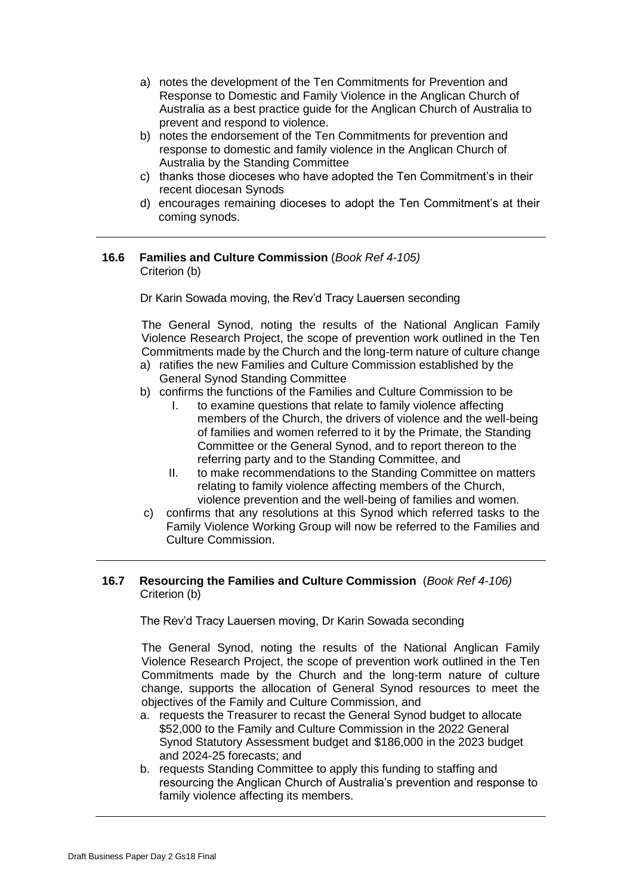- a) notes the development of the Ten Commitments for Prevention and Response to Domestic and Family Violence in the Anglican Church of Australia as a best practice guide for the Anglican Church of Australia to prevent and respond to violence.
- b) notes the endorsement of the Ten Commitments for prevention and response to domestic and family violence in the Anglican Church of Australia by the Standing Committee
- c) thanks those dioceses who have adopted the Ten Commitment's in their recent diocesan Synods
- d) encourages remaining dioceses to adopt the Ten Commitment's at their coming synods.

### **16.6 Families and Culture Commission** (*Book Ref 4-105)* Criterion (b)

Dr Karin Sowada moving, the Rev'd Tracy Lauersen seconding

The General Synod, noting the results of the National Anglican Family Violence Research Project, the scope of prevention work outlined in the Ten Commitments made by the Church and the long-term nature of culture change

- a) ratifies the new Families and Culture Commission established by the General Synod Standing Committee
- b) confirms the functions of the Families and Culture Commission to be
	- I. to examine questions that relate to family violence affecting members of the Church, the drivers of violence and the well-being of families and women referred to it by the Primate, the Standing Committee or the General Synod, and to report thereon to the referring party and to the Standing Committee, and
	- II. to make recommendations to the Standing Committee on matters relating to family violence affecting members of the Church, violence prevention and the well-being of families and women.
- c) confirms that any resolutions at this Synod which referred tasks to the Family Violence Working Group will now be referred to the Families and Culture Commission.

# **16.7 Resourcing the Families and Culture Commission** (*Book Ref 4-106)* Criterion (b)

The Rev'd Tracy Lauersen moving, Dr Karin Sowada seconding

The General Synod, noting the results of the National Anglican Family Violence Research Project, the scope of prevention work outlined in the Ten Commitments made by the Church and the long-term nature of culture change, supports the allocation of General Synod resources to meet the objectives of the Family and Culture Commission, and

- a. requests the Treasurer to recast the General Synod budget to allocate \$52,000 to the Family and Culture Commission in the 2022 General Synod Statutory Assessment budget and \$186,000 in the 2023 budget and 2024-25 forecasts; and
- b. requests Standing Committee to apply this funding to staffing and resourcing the Anglican Church of Australia's prevention and response to family violence affecting its members.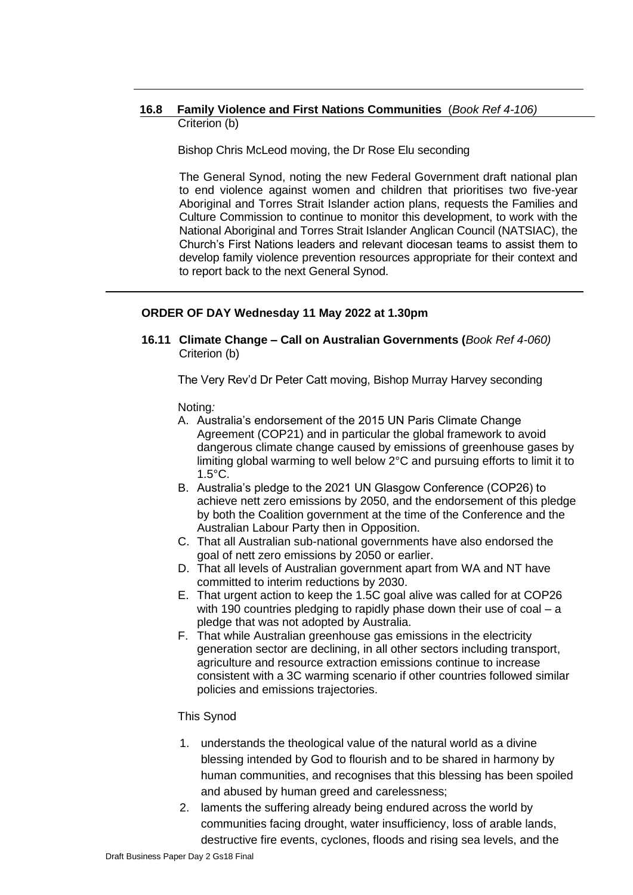### **16.8 Family Violence and First Nations Communities** (*Book Ref 4-106)* Criterion (b)

Bishop Chris McLeod moving, the Dr Rose Elu seconding

The General Synod, noting the new Federal Government draft national plan to end violence against women and children that prioritises two five-year Aboriginal and Torres Strait Islander action plans, requests the Families and Culture Commission to continue to monitor this development, to work with the National Aboriginal and Torres Strait Islander Anglican Council (NATSIAC), the Church's First Nations leaders and relevant diocesan teams to assist them to develop family violence prevention resources appropriate for their context and to report back to the next General Synod.

# **ORDER OF DAY Wednesday 11 May 2022 at 1.30pm**

**16.11 Climate Change – Call on Australian Governments (***Book Ref 4-060)* Criterion (b)

The Very Rev'd Dr Peter Catt moving, Bishop Murray Harvey seconding

Noting*:*

- A. Australia's endorsement of the 2015 UN Paris Climate Change Agreement (COP21) and in particular the global framework to avoid dangerous climate change caused by emissions of greenhouse gases by limiting global warming to well below 2°C and pursuing efforts to limit it to 1.5°C.
- B. Australia's pledge to the 2021 UN Glasgow Conference (COP26) to achieve nett zero emissions by 2050, and the endorsement of this pledge by both the Coalition government at the time of the Conference and the Australian Labour Party then in Opposition.
- C. That all Australian sub-national governments have also endorsed the goal of nett zero emissions by 2050 or earlier.
- D. That all levels of Australian government apart from WA and NT have committed to interim reductions by 2030.
- E. That urgent action to keep the 1.5C goal alive was called for at COP26 with 190 countries pledging to rapidly phase down their use of coal – a pledge that was not adopted by Australia.
- F. That while Australian greenhouse gas emissions in the electricity generation sector are declining, in all other sectors including transport, agriculture and resource extraction emissions continue to increase consistent with a 3C warming scenario if other countries followed similar policies and emissions trajectories.

#### This Synod

- 1. understands the theological value of the natural world as a divine blessing intended by God to flourish and to be shared in harmony by human communities, and recognises that this blessing has been spoiled and abused by human greed and carelessness;
- 2. laments the suffering already being endured across the world by communities facing drought, water insufficiency, loss of arable lands, destructive fire events, cyclones, floods and rising sea levels, and the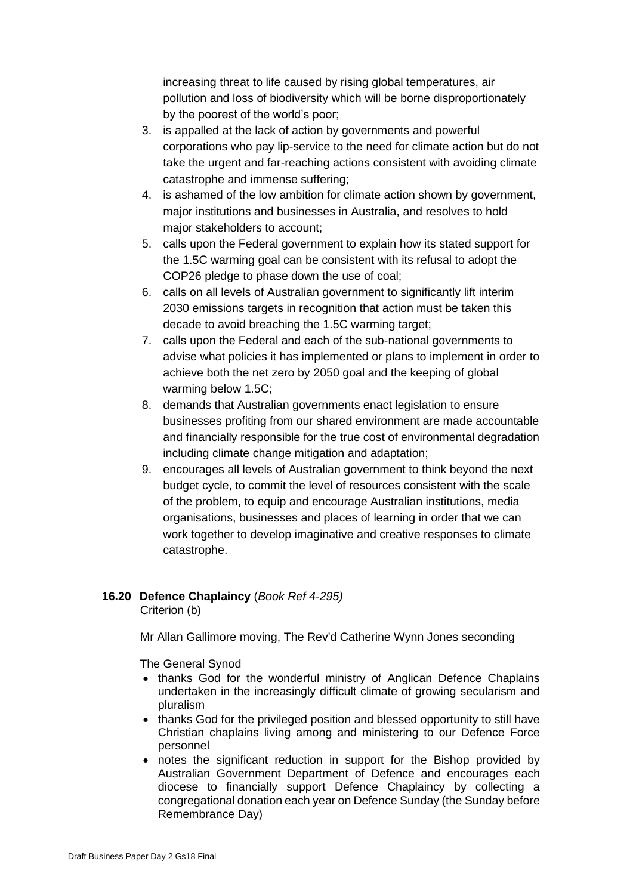increasing threat to life caused by rising global temperatures, air pollution and loss of biodiversity which will be borne disproportionately by the poorest of the world's poor;

- 3. is appalled at the lack of action by governments and powerful corporations who pay lip-service to the need for climate action but do not take the urgent and far-reaching actions consistent with avoiding climate catastrophe and immense suffering;
- 4. is ashamed of the low ambition for climate action shown by government, major institutions and businesses in Australia, and resolves to hold major stakeholders to account;
- 5. calls upon the Federal government to explain how its stated support for the 1.5C warming goal can be consistent with its refusal to adopt the COP26 pledge to phase down the use of coal;
- 6. calls on all levels of Australian government to significantly lift interim 2030 emissions targets in recognition that action must be taken this decade to avoid breaching the 1.5C warming target;
- 7. calls upon the Federal and each of the sub-national governments to advise what policies it has implemented or plans to implement in order to achieve both the net zero by 2050 goal and the keeping of global warming below 1.5C;
- 8. demands that Australian governments enact legislation to ensure businesses profiting from our shared environment are made accountable and financially responsible for the true cost of environmental degradation including climate change mitigation and adaptation;
- 9. encourages all levels of Australian government to think beyond the next budget cycle, to commit the level of resources consistent with the scale of the problem, to equip and encourage Australian institutions, media organisations, businesses and places of learning in order that we can work together to develop imaginative and creative responses to climate catastrophe.

# **16.20 Defence Chaplaincy** (*Book Ref 4-295)* Criterion (b)

Mr Allan Gallimore moving, The Rev'd Catherine Wynn Jones seconding

The General Synod

- thanks God for the wonderful ministry of Anglican Defence Chaplains undertaken in the increasingly difficult climate of growing secularism and pluralism
- thanks God for the privileged position and blessed opportunity to still have Christian chaplains living among and ministering to our Defence Force personnel
- notes the significant reduction in support for the Bishop provided by Australian Government Department of Defence and encourages each diocese to financially support Defence Chaplaincy by collecting a congregational donation each year on Defence Sunday (the Sunday before Remembrance Day)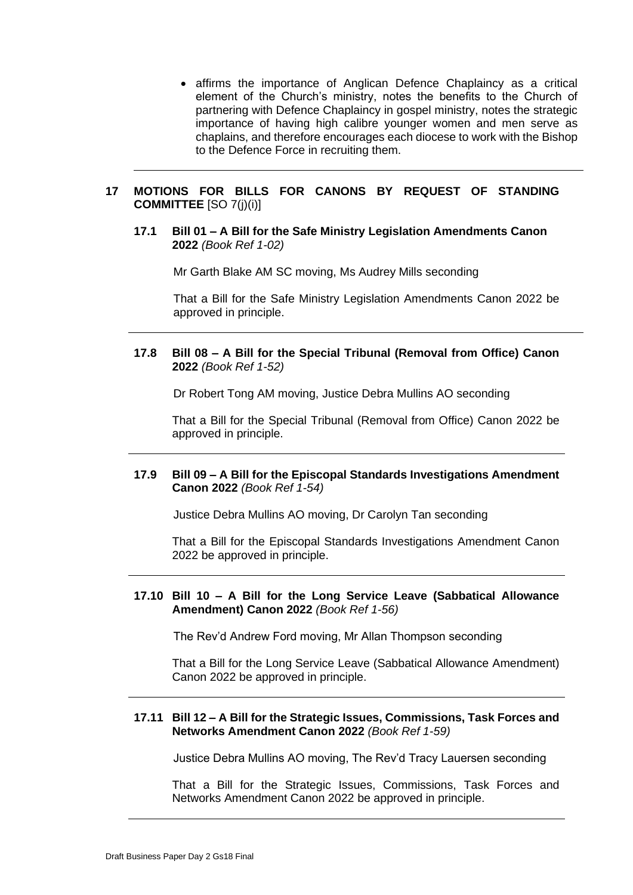• affirms the importance of Anglican Defence Chaplaincy as a critical element of the Church's ministry, notes the benefits to the Church of partnering with Defence Chaplaincy in gospel ministry, notes the strategic importance of having high calibre younger women and men serve as chaplains, and therefore encourages each diocese to work with the Bishop to the Defence Force in recruiting them.

### **17 MOTIONS FOR BILLS FOR CANONS BY REQUEST OF STANDING COMMITTEE** [SO 7(j)(i)]

#### **17.1 Bill 01 – A Bill for the Safe Ministry Legislation Amendments Canon 2022** *(Book Ref 1-02)*

Mr Garth Blake AM SC moving, Ms Audrey Mills seconding

That a Bill for the Safe Ministry Legislation Amendments Canon 2022 be approved in principle.

### **17.8 Bill 08 – A Bill for the Special Tribunal (Removal from Office) Canon 2022** *(Book Ref 1-52)*

Dr Robert Tong AM moving, Justice Debra Mullins AO seconding

That a Bill for the Special Tribunal (Removal from Office) Canon 2022 be approved in principle.

# **17.9 Bill 09 – A Bill for the Episcopal Standards Investigations Amendment Canon 2022** *(Book Ref 1-54)*

Justice Debra Mullins AO moving, Dr Carolyn Tan seconding

That a Bill for the Episcopal Standards Investigations Amendment Canon 2022 be approved in principle.

### **17.10 Bill 10 – A Bill for the Long Service Leave (Sabbatical Allowance Amendment) Canon 2022** *(Book Ref 1-56)*

The Rev'd Andrew Ford moving, Mr Allan Thompson seconding

That a Bill for the Long Service Leave (Sabbatical Allowance Amendment) Canon 2022 be approved in principle.

#### **17.11 Bill 12 – A Bill for the Strategic Issues, Commissions, Task Forces and Networks Amendment Canon 2022** *(Book Ref 1-59)*

Justice Debra Mullins AO moving, The Rev'd Tracy Lauersen seconding

That a Bill for the Strategic Issues, Commissions, Task Forces and Networks Amendment Canon 2022 be approved in principle.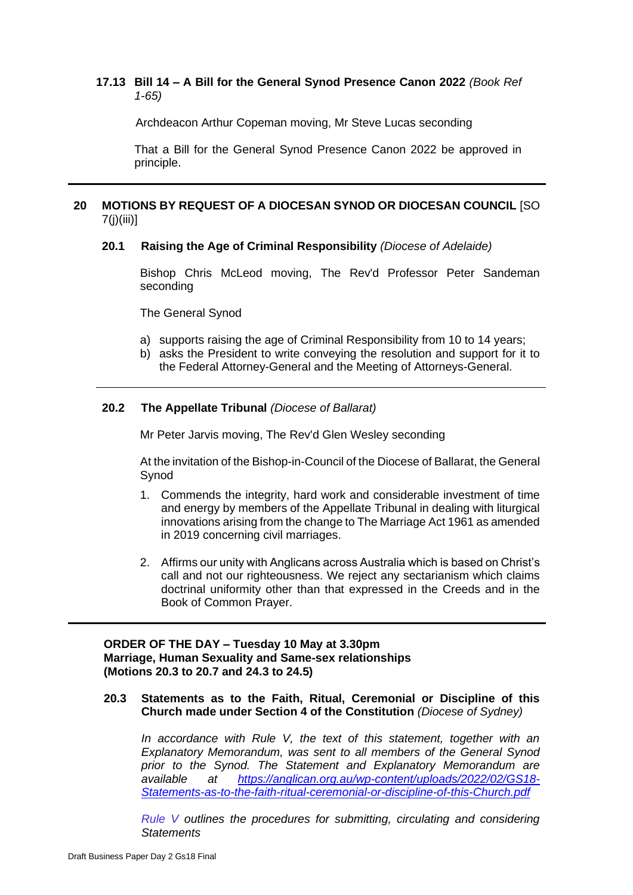### **17.13 Bill 14 – A Bill for the General Synod Presence Canon 2022** *(Book Ref 1-65)*

Archdeacon Arthur Copeman moving, Mr Steve Lucas seconding

That a Bill for the General Synod Presence Canon 2022 be approved in principle.

### **20 MOTIONS BY REQUEST OF A DIOCESAN SYNOD OR DIOCESAN COUNCIL** [SO 7(j)(iii)]

#### **20.1 Raising the Age of Criminal Responsibility** *(Diocese of Adelaide)*

Bishop Chris McLeod moving, The Rev'd Professor Peter Sandeman seconding

The General Synod

- a) supports raising the age of Criminal Responsibility from 10 to 14 years;
- b) asks the President to write conveying the resolution and support for it to the Federal Attorney-General and the Meeting of Attorneys-General.

#### **20.2 The Appellate Tribunal** *(Diocese of Ballarat)*

Mr Peter Jarvis moving, The Rev'd Glen Wesley seconding

At the invitation of the Bishop-in-Council of the Diocese of Ballarat, the General Synod

- 1. Commends the integrity, hard work and considerable investment of time and energy by members of the Appellate Tribunal in dealing with liturgical innovations arising from the change to The Marriage Act 1961 as amended in 2019 concerning civil marriages.
- 2. Affirms our unity with Anglicans across Australia which is based on Christ's call and not our righteousness. We reject any sectarianism which claims doctrinal uniformity other than that expressed in the Creeds and in the Book of Common Prayer.

### **ORDER OF THE DAY – Tuesday 10 May at 3.30pm Marriage, Human Sexuality and Same-sex relationships (Motions 20.3 to 20.7 and 24.3 to 24.5)**

#### **20.3 Statements as to the Faith, Ritual, Ceremonial or Discipline of this Church made under Section 4 of the Constitution** *(Diocese of Sydney)*

*In accordance with Rule V, the text of this statement, together with an Explanatory Memorandum, was sent to all members of the General Synod prior to the Synod. The Statement and Explanatory Memorandum are available at [https://anglican.org.au/wp-content/uploads/2022/02/GS18-](https://anglican.org.au/wp-content/uploads/2022/02/GS18-Statements-as-to-the-faith-ritual-ceremonial-or-discipline-of-this-Church.pdf) [Statements-as-to-the-faith-ritual-ceremonial-or-discipline-of-this-Church.pdf](https://anglican.org.au/wp-content/uploads/2022/02/GS18-Statements-as-to-the-faith-ritual-ceremonial-or-discipline-of-this-Church.pdf)*

*[Rule](https://anglican.org.au/wp-content/uploads/2022/02/Rule-V-Statement-made-under-Section-4-of-the-Constitution.pdf) V outlines the procedures for submitting, circulating and considering Statements*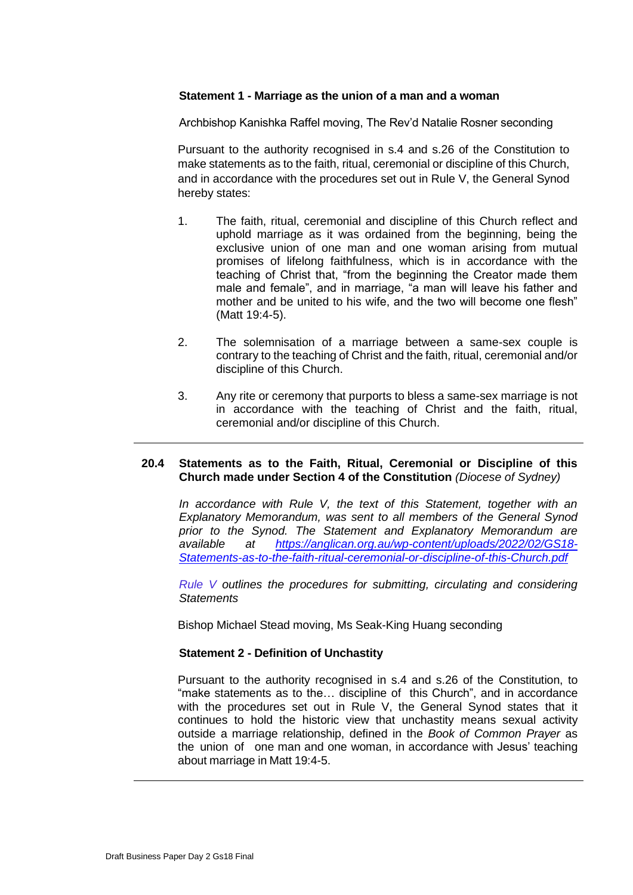### **Statement 1 - Marriage as the union of a man and a woman**

Archbishop Kanishka Raffel moving, The Rev'd Natalie Rosner seconding

Pursuant to the authority recognised in s.4 and s.26 of the Constitution to make statements as to the faith, ritual, ceremonial or discipline of this Church, and in accordance with the procedures set out in Rule V, the General Synod hereby states:

- 1. The faith, ritual, ceremonial and discipline of this Church reflect and uphold marriage as it was ordained from the beginning, being the exclusive union of one man and one woman arising from mutual promises of lifelong faithfulness, which is in accordance with the teaching of Christ that, "from the beginning the Creator made them male and female", and in marriage, "a man will leave his father and mother and be united to his wife, and the two will become one flesh" (Matt 19:4-5).
- 2. The solemnisation of a marriage between a same-sex couple is contrary to the teaching of Christ and the faith, ritual, ceremonial and/or discipline of this Church.
- 3. Any rite or ceremony that purports to bless a same-sex marriage is not in accordance with the teaching of Christ and the faith, ritual, ceremonial and/or discipline of this Church.

#### **20.4 Statements as to the Faith, Ritual, Ceremonial or Discipline of this Church made under Section 4 of the Constitution** *(Diocese of Sydney)*

*In accordance with Rule V, the text of this Statement, together with an Explanatory Memorandum, was sent to all members of the General Synod prior to the Synod. The Statement and Explanatory Memorandum are available at [https://anglican.org.au/wp-content/uploads/2022/02/GS18-](https://anglican.org.au/wp-content/uploads/2022/02/GS18-Statements-as-to-the-faith-ritual-ceremonial-or-discipline-of-this-Church.pdf) [Statements-as-to-the-faith-ritual-ceremonial-or-discipline-of-this-Church.pdf](https://anglican.org.au/wp-content/uploads/2022/02/GS18-Statements-as-to-the-faith-ritual-ceremonial-or-discipline-of-this-Church.pdf)*

*[Rule](https://anglican.org.au/wp-content/uploads/2022/02/Rule-V-Statement-made-under-Section-4-of-the-Constitution.pdf) V outlines the procedures for submitting, circulating and considering Statements*

Bishop Michael Stead moving, Ms Seak-King Huang seconding

#### **Statement 2 - Definition of Unchastity**

Pursuant to the authority recognised in s.4 and s.26 of the Constitution, to "make statements as to the… discipline of this Church", and in accordance with the procedures set out in Rule V, the General Synod states that it continues to hold the historic view that unchastity means sexual activity outside a marriage relationship, defined in the *Book of Common Prayer* as the union of one man and one woman, in accordance with Jesus' teaching about marriage in Matt 19:4-5.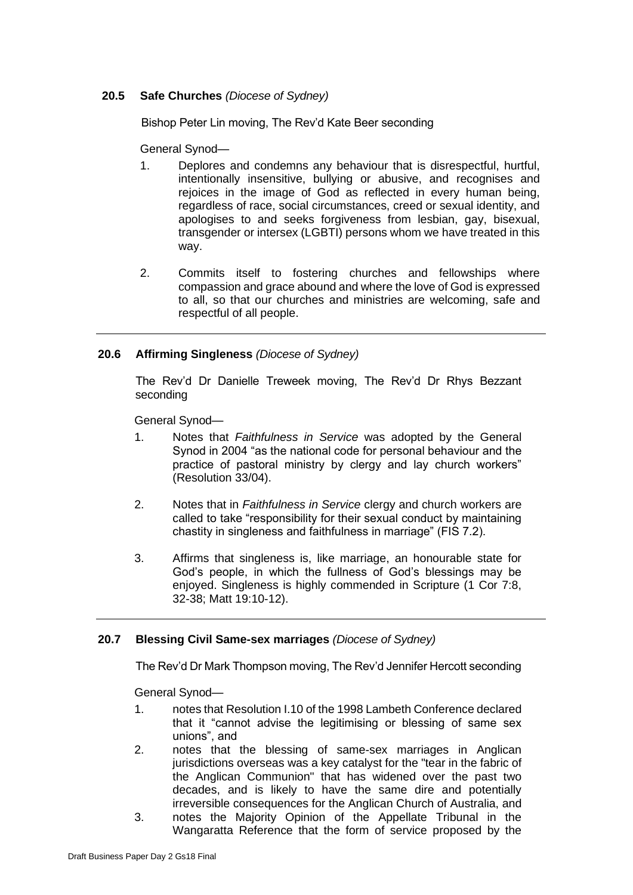# **20.5 Safe Churches** *(Diocese of Sydney)*

Bishop Peter Lin moving, The Rev'd Kate Beer seconding

General Synod—

- 1. Deplores and condemns any behaviour that is disrespectful, hurtful, intentionally insensitive, bullying or abusive, and recognises and rejoices in the image of God as reflected in every human being, regardless of race, social circumstances, creed or sexual identity, and apologises to and seeks forgiveness from lesbian, gay, bisexual, transgender or intersex (LGBTI) persons whom we have treated in this way.
- 2. Commits itself to fostering churches and fellowships where compassion and grace abound and where the love of God is expressed to all, so that our churches and ministries are welcoming, safe and respectful of all people.

# **20.6 Affirming Singleness** *(Diocese of Sydney)*

The Rev'd Dr Danielle Treweek moving, The Rev'd Dr Rhys Bezzant seconding

General Synod—

- 1. Notes that *Faithfulness in Service* was adopted by the General Synod in 2004 "as the national code for personal behaviour and the practice of pastoral ministry by clergy and lay church workers" (Resolution 33/04).
- 2. Notes that in *Faithfulness in Service* clergy and church workers are called to take "responsibility for their sexual conduct by maintaining chastity in singleness and faithfulness in marriage" (FIS 7.2).
- 3. Affirms that singleness is, like marriage, an honourable state for God's people, in which the fullness of God's blessings may be enjoyed. Singleness is highly commended in Scripture (1 Cor 7:8, 32-38; Matt 19:10-12).

# **20.7 Blessing Civil Same-sex marriages** *(Diocese of Sydney)*

The Rev'd Dr Mark Thompson moving, The Rev'd Jennifer Hercott seconding

General Synod—

- 1. notes that Resolution I.10 of the 1998 Lambeth Conference declared that it "cannot advise the legitimising or blessing of same sex unions", and
- 2. notes that the blessing of same-sex marriages in Anglican jurisdictions overseas was a key catalyst for the "tear in the fabric of the Anglican Communion" that has widened over the past two decades, and is likely to have the same dire and potentially irreversible consequences for the Anglican Church of Australia, and
- 3. notes the Majority Opinion of the Appellate Tribunal in the Wangaratta Reference that the form of service proposed by the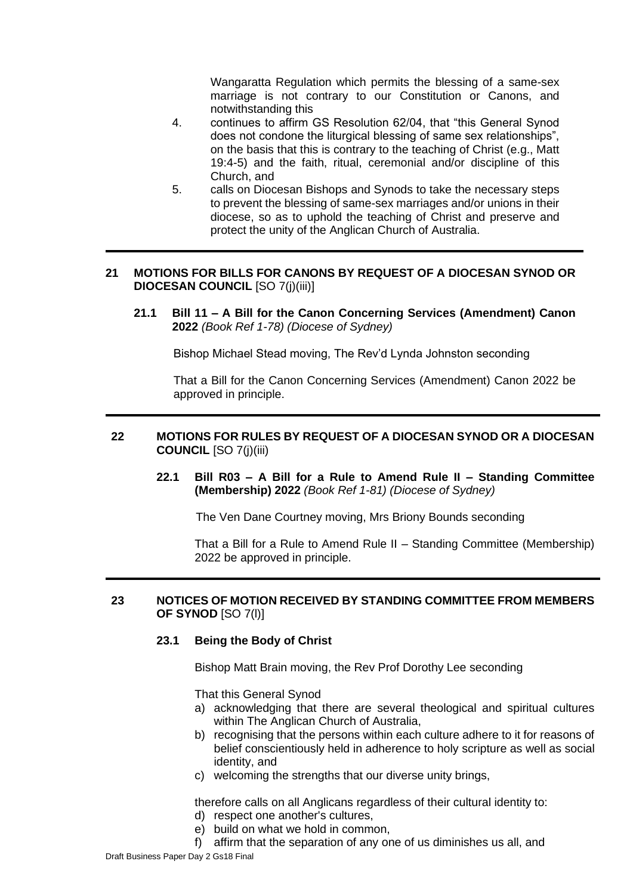Wangaratta Regulation which permits the blessing of a same-sex marriage is not contrary to our Constitution or Canons, and notwithstanding this

- 4. continues to affirm GS Resolution 62/04, that "this General Synod does not condone the liturgical blessing of same sex relationships", on the basis that this is contrary to the teaching of Christ (e.g., Matt 19:4-5) and the faith, ritual, ceremonial and/or discipline of this Church, and
- 5. calls on Diocesan Bishops and Synods to take the necessary steps to prevent the blessing of same-sex marriages and/or unions in their diocese, so as to uphold the teaching of Christ and preserve and protect the unity of the Anglican Church of Australia.

# **21 MOTIONS FOR BILLS FOR CANONS BY REQUEST OF A DIOCESAN SYNOD OR DIOCESAN COUNCIL** [SO 7(j)(iii)]

**21.1 Bill 11 – A Bill for the Canon Concerning Services (Amendment) Canon 2022** *(Book Ref 1-78) (Diocese of Sydney)*

Bishop Michael Stead moving, The Rev'd Lynda Johnston seconding

That a Bill for the Canon Concerning Services (Amendment) Canon 2022 be approved in principle.

# **22 MOTIONS FOR RULES BY REQUEST OF A DIOCESAN SYNOD OR A DIOCESAN COUNCIL** [SO 7(j)(iii)

**22.1 Bill R03 – A Bill for a Rule to Amend Rule II – Standing Committee (Membership) 2022** *(Book Ref 1-81) (Diocese of Sydney)*

The Ven Dane Courtney moving, Mrs Briony Bounds seconding

That a Bill for a Rule to Amend Rule II – Standing Committee (Membership) 2022 be approved in principle.

# **23 NOTICES OF MOTION RECEIVED BY STANDING COMMITTEE FROM MEMBERS OF SYNOD** [SO 7(l)]

# **23.1 Being the Body of Christ**

Bishop Matt Brain moving, the Rev Prof Dorothy Lee seconding

That this General Synod

- a) acknowledging that there are several theological and spiritual cultures within The Anglican Church of Australia,
- b) recognising that the persons within each culture adhere to it for reasons of belief conscientiously held in adherence to holy scripture as well as social identity, and
- c) welcoming the strengths that our diverse unity brings,

therefore calls on all Anglicans regardless of their cultural identity to:

- d) respect one another's cultures,
- e) build on what we hold in common,
- f) affirm that the separation of any one of us diminishes us all, and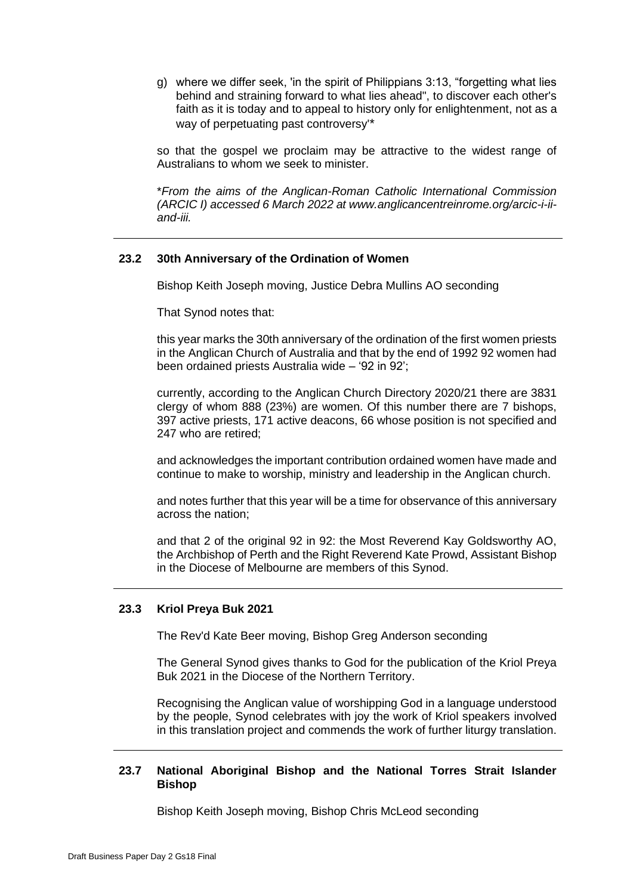g) where we differ seek, 'in the spirit of Philippians 3:13, "forgetting what lies behind and straining forward to what lies ahead", to discover each other's faith as it is today and to appeal to history only for enlightenment, not as a way of perpetuating past controversy'\*

so that the gospel we proclaim may be attractive to the widest range of Australians to whom we seek to minister.

\**From the aims of the Anglican-Roman Catholic International Commission (ARCIC I) accessed 6 March 2022 at www.anglicancentreinrome.org/arcic-i-iiand-iii.*

### **23.2 30th Anniversary of the Ordination of Women**

Bishop Keith Joseph moving, Justice Debra Mullins AO seconding

That Synod notes that:

this year marks the 30th anniversary of the ordination of the first women priests in the Anglican Church of Australia and that by the end of 1992 92 women had been ordained priests Australia wide – '92 in 92';

currently, according to the Anglican Church Directory 2020/21 there are 3831 clergy of whom 888 (23%) are women. Of this number there are 7 bishops, 397 active priests, 171 active deacons, 66 whose position is not specified and 247 who are retired;

and acknowledges the important contribution ordained women have made and continue to make to worship, ministry and leadership in the Anglican church.

and notes further that this year will be a time for observance of this anniversary across the nation;

and that 2 of the original 92 in 92: the Most Reverend Kay Goldsworthy AO, the Archbishop of Perth and the Right Reverend Kate Prowd, Assistant Bishop in the Diocese of Melbourne are members of this Synod.

#### **23.3 Kriol Preya Buk 2021**

The Rev'd Kate Beer moving, Bishop Greg Anderson seconding

The General Synod gives thanks to God for the publication of the Kriol Preya Buk 2021 in the Diocese of the Northern Territory.

Recognising the Anglican value of worshipping God in a language understood by the people, Synod celebrates with joy the work of Kriol speakers involved in this translation project and commends the work of further liturgy translation.

### **23.7 National Aboriginal Bishop and the National Torres Strait Islander Bishop**

Bishop Keith Joseph moving, Bishop Chris McLeod seconding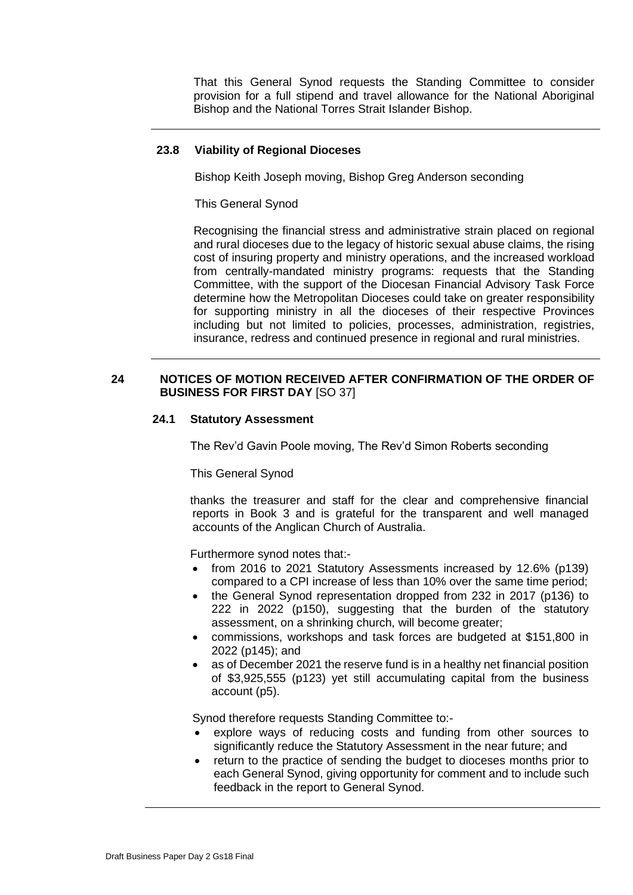That this General Synod requests the Standing Committee to consider provision for a full stipend and travel allowance for the National Aboriginal Bishop and the National Torres Strait Islander Bishop.

# **23.8 Viability of Regional Dioceses**

Bishop Keith Joseph moving, Bishop Greg Anderson seconding

This General Synod

Recognising the financial stress and administrative strain placed on regional and rural dioceses due to the legacy of historic sexual abuse claims, the rising cost of insuring property and ministry operations, and the increased workload from centrally-mandated ministry programs: requests that the Standing Committee, with the support of the Diocesan Financial Advisory Task Force determine how the Metropolitan Dioceses could take on greater responsibility for supporting ministry in all the dioceses of their respective Provinces including but not limited to policies, processes, administration, registries, insurance, redress and continued presence in regional and rural ministries.

### **24 NOTICES OF MOTION RECEIVED AFTER CONFIRMATION OF THE ORDER OF BUSINESS FOR FIRST DAY** [SO 37]

#### **24.1 Statutory Assessment**

The Rev'd Gavin Poole moving, The Rev'd Simon Roberts seconding

This General Synod

thanks the treasurer and staff for the clear and comprehensive financial reports in Book 3 and is grateful for the transparent and well managed accounts of the Anglican Church of Australia.

Furthermore synod notes that:-

- from 2016 to 2021 Statutory Assessments increased by 12.6% (p139) compared to a CPI increase of less than 10% over the same time period;
- the General Synod representation dropped from 232 in 2017 (p136) to 222 in 2022 (p150), suggesting that the burden of the statutory assessment, on a shrinking church, will become greater;
- commissions, workshops and task forces are budgeted at \$151,800 in 2022 (p145); and
- as of December 2021 the reserve fund is in a healthy net financial position of \$3,925,555 (p123) yet still accumulating capital from the business account (p5).

Synod therefore requests Standing Committee to:-

- explore ways of reducing costs and funding from other sources to significantly reduce the Statutory Assessment in the near future; and
- return to the practice of sending the budget to dioceses months prior to each General Synod, giving opportunity for comment and to include such feedback in the report to General Synod.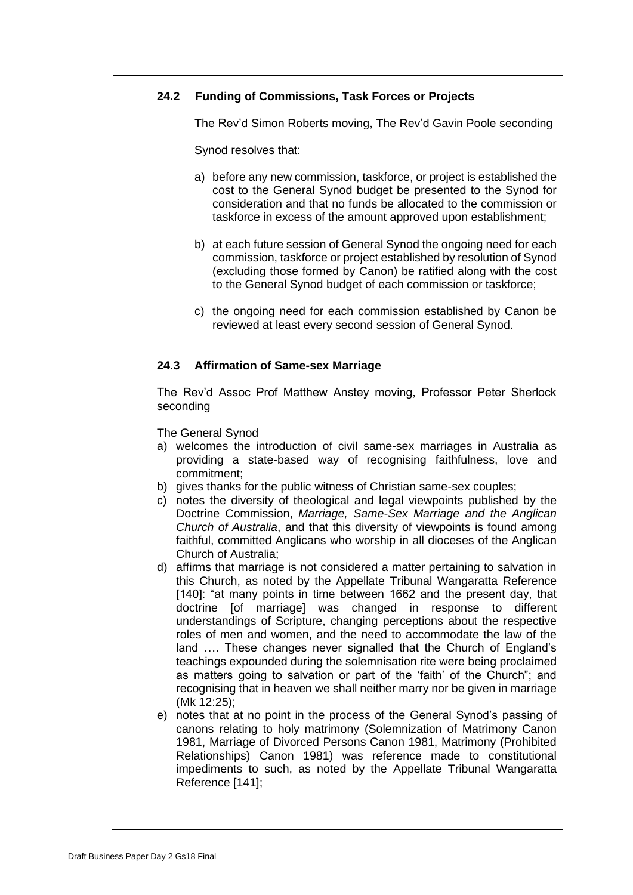# **24.2 Funding of Commissions, Task Forces or Projects**

The Rev'd Simon Roberts moving, The Rev'd Gavin Poole seconding

Synod resolves that:

- a) before any new commission, taskforce, or project is established the cost to the General Synod budget be presented to the Synod for consideration and that no funds be allocated to the commission or taskforce in excess of the amount approved upon establishment;
- b) at each future session of General Synod the ongoing need for each commission, taskforce or project established by resolution of Synod (excluding those formed by Canon) be ratified along with the cost to the General Synod budget of each commission or taskforce;
- c) the ongoing need for each commission established by Canon be reviewed at least every second session of General Synod.

# **24.3 Affirmation of Same-sex Marriage**

The Rev'd Assoc Prof Matthew Anstey moving, Professor Peter Sherlock seconding

The General Synod

- a) welcomes the introduction of civil same-sex marriages in Australia as providing a state-based way of recognising faithfulness, love and commitment;
- b) gives thanks for the public witness of Christian same-sex couples;
- c) notes the diversity of theological and legal viewpoints published by the Doctrine Commission, *Marriage, Same-Sex Marriage and the Anglican Church of Australia*, and that this diversity of viewpoints is found among faithful, committed Anglicans who worship in all dioceses of the Anglican Church of Australia;
- d) affirms that marriage is not considered a matter pertaining to salvation in this Church, as noted by the Appellate Tribunal Wangaratta Reference [140]: "at many points in time between 1662 and the present day, that doctrine [of marriage] was changed in response to different understandings of Scripture, changing perceptions about the respective roles of men and women, and the need to accommodate the law of the land …. These changes never signalled that the Church of England's teachings expounded during the solemnisation rite were being proclaimed as matters going to salvation or part of the 'faith' of the Church"; and recognising that in heaven we shall neither marry nor be given in marriage (Mk 12:25);
- e) notes that at no point in the process of the General Synod's passing of canons relating to holy matrimony (Solemnization of Matrimony Canon 1981, Marriage of Divorced Persons Canon 1981, Matrimony (Prohibited Relationships) Canon 1981) was reference made to constitutional impediments to such, as noted by the Appellate Tribunal Wangaratta Reference [141];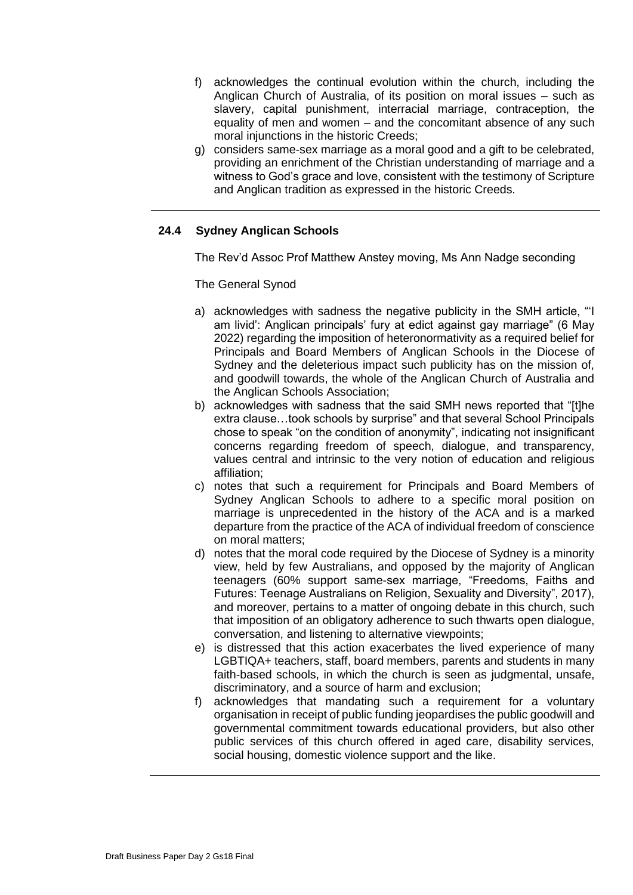- f) acknowledges the continual evolution within the church, including the Anglican Church of Australia, of its position on moral issues – such as slavery, capital punishment, interracial marriage, contraception, the equality of men and women – and the concomitant absence of any such moral injunctions in the historic Creeds;
- g) considers same-sex marriage as a moral good and a gift to be celebrated, providing an enrichment of the Christian understanding of marriage and a witness to God's grace and love, consistent with the testimony of Scripture and Anglican tradition as expressed in the historic Creeds.

# **24.4 Sydney Anglican Schools**

The Rev'd Assoc Prof Matthew Anstey moving, Ms Ann Nadge seconding

The General Synod

- a) acknowledges with sadness the negative publicity in the SMH article, "'I am livid': Anglican principals' fury at edict against gay marriage" (6 May 2022) regarding the imposition of heteronormativity as a required belief for Principals and Board Members of Anglican Schools in the Diocese of Sydney and the deleterious impact such publicity has on the mission of, and goodwill towards, the whole of the Anglican Church of Australia and the Anglican Schools Association;
- b) acknowledges with sadness that the said SMH news reported that "[t]he extra clause…took schools by surprise" and that several School Principals chose to speak "on the condition of anonymity", indicating not insignificant concerns regarding freedom of speech, dialogue, and transparency, values central and intrinsic to the very notion of education and religious affiliation;
- c) notes that such a requirement for Principals and Board Members of Sydney Anglican Schools to adhere to a specific moral position on marriage is unprecedented in the history of the ACA and is a marked departure from the practice of the ACA of individual freedom of conscience on moral matters;
- d) notes that the moral code required by the Diocese of Sydney is a minority view, held by few Australians, and opposed by the majority of Anglican teenagers (60% support same-sex marriage, "Freedoms, Faiths and Futures: Teenage Australians on Religion, Sexuality and Diversity", 2017), and moreover, pertains to a matter of ongoing debate in this church, such that imposition of an obligatory adherence to such thwarts open dialogue, conversation, and listening to alternative viewpoints;
- e) is distressed that this action exacerbates the lived experience of many LGBTIQA+ teachers, staff, board members, parents and students in many faith-based schools, in which the church is seen as judgmental, unsafe, discriminatory, and a source of harm and exclusion;
- f) acknowledges that mandating such a requirement for a voluntary organisation in receipt of public funding jeopardises the public goodwill and governmental commitment towards educational providers, but also other public services of this church offered in aged care, disability services, social housing, domestic violence support and the like.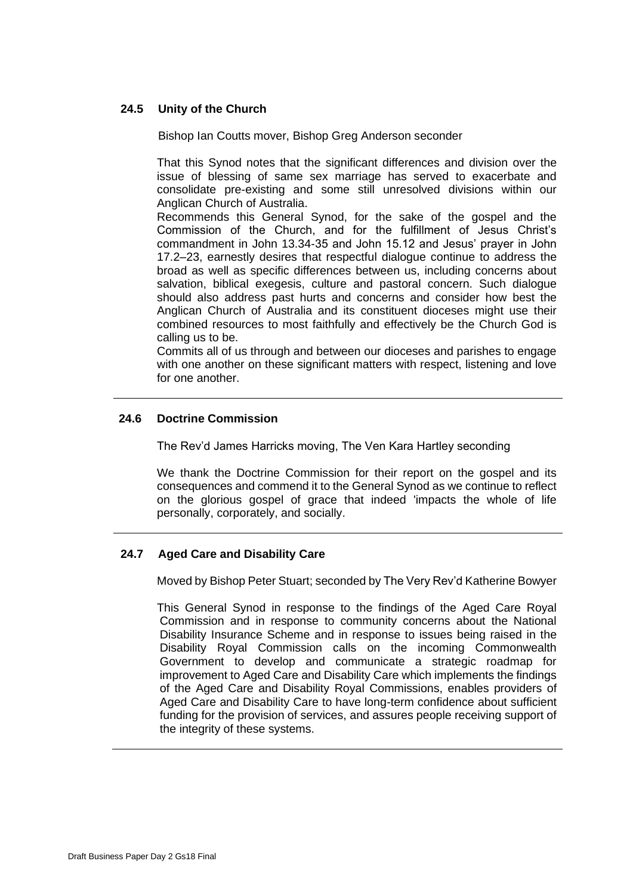# **24.5 Unity of the Church**

Bishop Ian Coutts mover, Bishop Greg Anderson seconder

That this Synod notes that the significant differences and division over the issue of blessing of same sex marriage has served to exacerbate and consolidate pre-existing and some still unresolved divisions within our Anglican Church of Australia.

Recommends this General Synod, for the sake of the gospel and the Commission of the Church, and for the fulfillment of Jesus Christ's commandment in John 13.34-35 and John 15.12 and Jesus' prayer in John 17.2–23, earnestly desires that respectful dialogue continue to address the broad as well as specific differences between us, including concerns about salvation, biblical exegesis, culture and pastoral concern. Such dialogue should also address past hurts and concerns and consider how best the Anglican Church of Australia and its constituent dioceses might use their combined resources to most faithfully and effectively be the Church God is calling us to be.

Commits all of us through and between our dioceses and parishes to engage with one another on these significant matters with respect, listening and love for one another.

# **24.6 Doctrine Commission**

The Rev'd James Harricks moving, The Ven Kara Hartley seconding

We thank the Doctrine Commission for their report on the gospel and its consequences and commend it to the General Synod as we continue to reflect on the glorious gospel of grace that indeed 'impacts the whole of life personally, corporately, and socially.

# **24.7 Aged Care and Disability Care**

Moved by Bishop Peter Stuart; seconded by The Very Rev'd Katherine Bowyer

This General Synod in response to the findings of the Aged Care Royal Commission and in response to community concerns about the National Disability Insurance Scheme and in response to issues being raised in the Disability Royal Commission calls on the incoming Commonwealth Government to develop and communicate a strategic roadmap for improvement to Aged Care and Disability Care which implements the findings of the Aged Care and Disability Royal Commissions, enables providers of Aged Care and Disability Care to have long-term confidence about sufficient funding for the provision of services, and assures people receiving support of the integrity of these systems.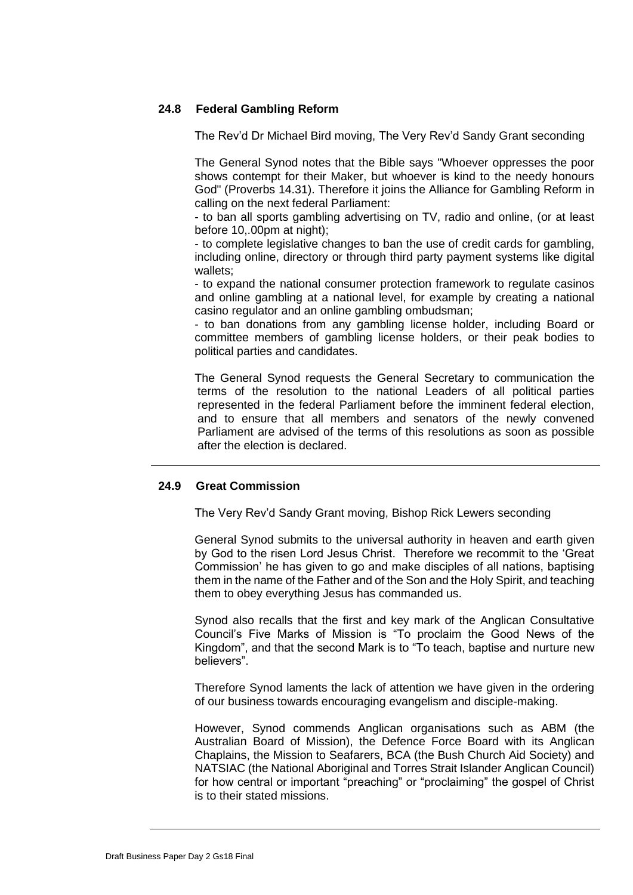# **24.8 Federal Gambling Reform**

The Rev'd Dr Michael Bird moving, The Very Rev'd Sandy Grant seconding

The General Synod notes that the Bible says "Whoever oppresses the poor shows contempt for their Maker, but whoever is kind to the needy honours God" (Proverbs 14.31). Therefore it joins the Alliance for Gambling Reform in calling on the next federal Parliament:

- to ban all sports gambling advertising on TV, radio and online, (or at least before 10,.00pm at night);

- to complete legislative changes to ban the use of credit cards for gambling, including online, directory or through third party payment systems like digital wallets;

- to expand the national consumer protection framework to regulate casinos and online gambling at a national level, for example by creating a national casino regulator and an online gambling ombudsman;

- to ban donations from any gambling license holder, including Board or committee members of gambling license holders, or their peak bodies to political parties and candidates.

The General Synod requests the General Secretary to communication the terms of the resolution to the national Leaders of all political parties represented in the federal Parliament before the imminent federal election, and to ensure that all members and senators of the newly convened Parliament are advised of the terms of this resolutions as soon as possible after the election is declared.

# **24.9 Great Commission**

The Very Rev'd Sandy Grant moving, Bishop Rick Lewers seconding

General Synod submits to the universal authority in heaven and earth given by God to the risen Lord Jesus Christ. Therefore we recommit to the 'Great Commission' he has given to go and make disciples of all nations, baptising them in the name of the Father and of the Son and the Holy Spirit, and teaching them to obey everything Jesus has commanded us.

Synod also recalls that the first and key mark of the Anglican Consultative Council's Five Marks of Mission is "To proclaim the Good News of the Kingdom", and that the second Mark is to "To teach, baptise and nurture new believers".

Therefore Synod laments the lack of attention we have given in the ordering of our business towards encouraging evangelism and disciple-making.

However, Synod commends Anglican organisations such as ABM (the Australian Board of Mission), the Defence Force Board with its Anglican Chaplains, the Mission to Seafarers, BCA (the Bush Church Aid Society) and NATSIAC (the National Aboriginal and Torres Strait Islander Anglican Council) for how central or important "preaching" or "proclaiming" the gospel of Christ is to their stated missions.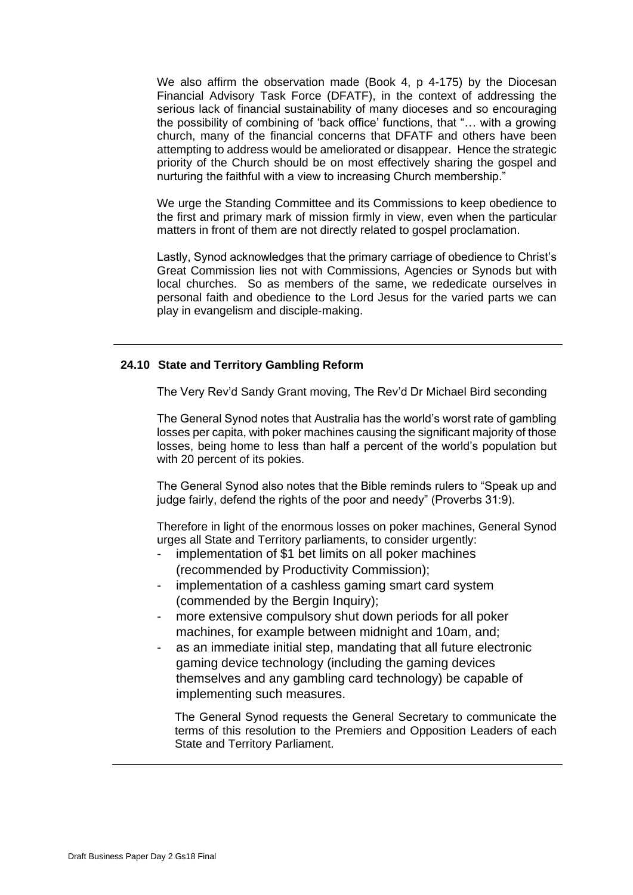We also affirm the observation made (Book 4, p 4-175) by the Diocesan Financial Advisory Task Force (DFATF), in the context of addressing the serious lack of financial sustainability of many dioceses and so encouraging the possibility of combining of 'back office' functions, that "… with a growing church, many of the financial concerns that DFATF and others have been attempting to address would be ameliorated or disappear. Hence the strategic priority of the Church should be on most effectively sharing the gospel and nurturing the faithful with a view to increasing Church membership."

We urge the Standing Committee and its Commissions to keep obedience to the first and primary mark of mission firmly in view, even when the particular matters in front of them are not directly related to gospel proclamation.

Lastly, Synod acknowledges that the primary carriage of obedience to Christ's Great Commission lies not with Commissions, Agencies or Synods but with local churches. So as members of the same, we rededicate ourselves in personal faith and obedience to the Lord Jesus for the varied parts we can play in evangelism and disciple-making.

### **24.10 State and Territory Gambling Reform**

The Very Rev'd Sandy Grant moving, The Rev'd Dr Michael Bird seconding

The General Synod notes that Australia has the world's worst rate of gambling losses per capita, with poker machines causing the significant majority of those losses, being home to less than half a percent of the world's population but with 20 percent of its pokies.

The General Synod also notes that the Bible reminds rulers to "Speak up and judge fairly, defend the rights of the poor and needy" (Proverbs 31:9).

Therefore in light of the enormous losses on poker machines, General Synod urges all State and Territory parliaments, to consider urgently:

- implementation of \$1 bet limits on all poker machines (recommended by Productivity Commission);
- implementation of a cashless gaming smart card system (commended by the Bergin Inquiry);
- more extensive compulsory shut down periods for all poker machines, for example between midnight and 10am, and;
- as an immediate initial step, mandating that all future electronic gaming device technology (including the gaming devices themselves and any gambling card technology) be capable of implementing such measures.

The General Synod requests the General Secretary to communicate the terms of this resolution to the Premiers and Opposition Leaders of each State and Territory Parliament.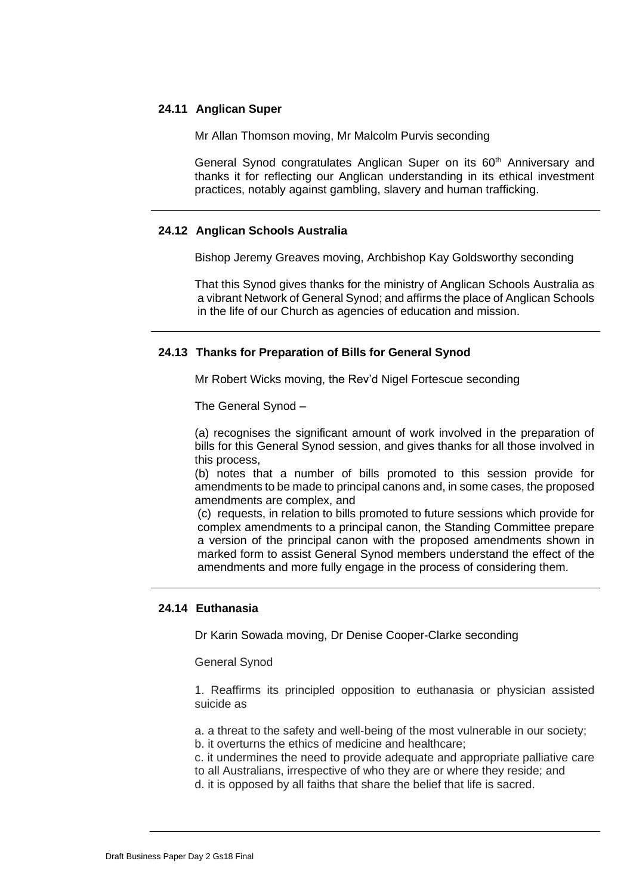### **24.11 Anglican Super**

Mr Allan Thomson moving, Mr Malcolm Purvis seconding

General Synod congratulates Anglican Super on its  $60<sup>th</sup>$  Anniversary and thanks it for reflecting our Anglican understanding in its ethical investment practices, notably against gambling, slavery and human trafficking.

### **24.12 Anglican Schools Australia**

Bishop Jeremy Greaves moving, Archbishop Kay Goldsworthy seconding

That this Synod gives thanks for the ministry of Anglican Schools Australia as a vibrant Network of General Synod; and affirms the place of Anglican Schools in the life of our Church as agencies of education and mission.

### **24.13 Thanks for Preparation of Bills for General Synod**

Mr Robert Wicks moving, the Rev'd Nigel Fortescue seconding

The General Synod –

(a) recognises the significant amount of work involved in the preparation of bills for this General Synod session, and gives thanks for all those involved in this process,

(b) notes that a number of bills promoted to this session provide for amendments to be made to principal canons and, in some cases, the proposed amendments are complex, and

(c) requests, in relation to bills promoted to future sessions which provide for complex amendments to a principal canon, the Standing Committee prepare a version of the principal canon with the proposed amendments shown in marked form to assist General Synod members understand the effect of the amendments and more fully engage in the process of considering them.

### **24.14 Euthanasia**

Dr Karin Sowada moving, Dr Denise Cooper-Clarke seconding

General Synod

1. Reaffirms its principled opposition to euthanasia or physician assisted suicide as

a. a threat to the safety and well-being of the most vulnerable in our society;

- b. it overturns the ethics of medicine and healthcare;
- c. it undermines the need to provide adequate and appropriate palliative care
- to all Australians, irrespective of who they are or where they reside; and
- d. it is opposed by all faiths that share the belief that life is sacred.